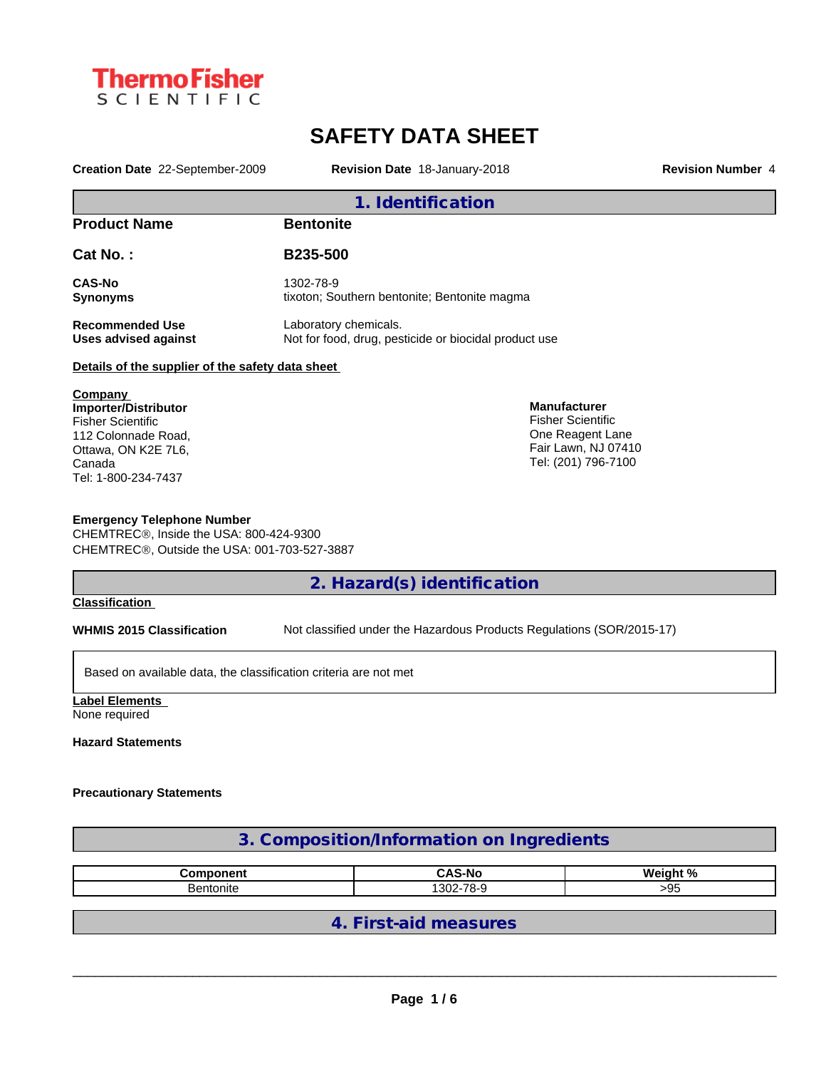

# **SAFETY DATA SHEET**

**Creation Date** 22-September-2009 **Revision Date** 18-January-2018 **Revision Number** 4

| 1. Identification                                                  |                                                                                |                                                 |  |  |
|--------------------------------------------------------------------|--------------------------------------------------------------------------------|-------------------------------------------------|--|--|
| <b>Product Name</b>                                                | <b>Bentonite</b>                                                               |                                                 |  |  |
| Cat No.:                                                           | <b>B235-500</b>                                                                |                                                 |  |  |
| <b>CAS-No</b><br><b>Synonyms</b>                                   | 1302-78-9<br>tixoton; Southern bentonite; Bentonite magma                      |                                                 |  |  |
| <b>Recommended Use</b><br><b>Uses advised against</b>              | Laboratory chemicals.<br>Not for food, drug, pesticide or biocidal product use |                                                 |  |  |
| Details of the supplier of the safety data sheet                   |                                                                                |                                                 |  |  |
| Company<br><b>Importer/Distributor</b><br><b>Fisher Scientific</b> |                                                                                | <b>Manufacturer</b><br><b>Fisher Scientific</b> |  |  |
| 112 Colonnade Road.                                                |                                                                                | One Reagent Lane                                |  |  |

112 Colonnade Road, Ottawa, ON K2E 7L6, Canada Tel: 1-800-234-7437

#### **Emergency Telephone Number**

CHEMTREC®, Inside the USA: 800-424-9300 CHEMTREC®, Outside the USA: 001-703-527-3887

### **2. Hazard(s) identification**

#### **Classification**

**WHMIS 2015 Classification** Not classified under the Hazardous Products Regulations (SOR/2015-17)

Fair Lawn, NJ 07410 Tel: (201) 796-7100

Based on available data, the classification criteria are not met

**Label Elements** None required

**Hazard Statements**

#### **Precautionary Statements**

| 3. Composition/Information on Ingredients |                       |          |  |
|-------------------------------------------|-----------------------|----------|--|
| <b>Component</b>                          | <b>CAS-No</b>         | Weight % |  |
| Bentonite                                 | 1302-78-9             | $>95$    |  |
|                                           | 4. First-aid measures |          |  |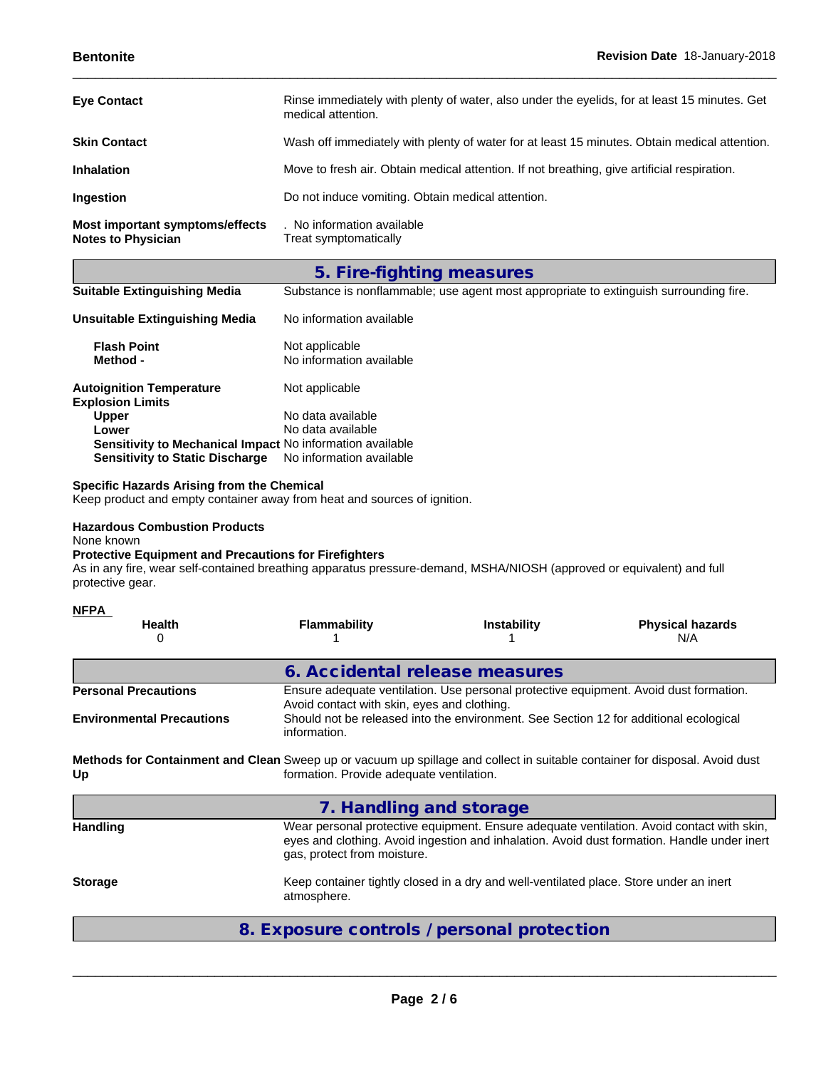| <b>Eye Contact</b>                                           | Rinse immediately with plenty of water, also under the eyelids, for at least 15 minutes. Get<br>medical attention. |
|--------------------------------------------------------------|--------------------------------------------------------------------------------------------------------------------|
| <b>Skin Contact</b>                                          | Wash off immediately with plenty of water for at least 15 minutes. Obtain medical attention.                       |
| <b>Inhalation</b>                                            | Move to fresh air. Obtain medical attention. If not breathing, give artificial respiration.                        |
| Ingestion                                                    | Do not induce vomiting. Obtain medical attention.                                                                  |
| Most important symptoms/effects<br><b>Notes to Physician</b> | . No information available<br>Treat symptomatically                                                                |

## **5. Fire-fighting measures**

|--|

| <b>Unsuitable Extinguishing Media</b>                      | No information available                   |
|------------------------------------------------------------|--------------------------------------------|
| <b>Flash Point</b><br>Method -                             | Not applicable<br>No information available |
| <b>Autoignition Temperature</b><br><b>Explosion Limits</b> | Not applicable                             |
| <b>Upper</b>                                               | No data available                          |
| Lower                                                      | No data available                          |
| Sensitivity to Mechanical Impact No information available  |                                            |
| <b>Sensitivity to Static Discharge</b>                     | No information available                   |

#### **Specific Hazards Arising from the Chemical**

Keep product and empty container away from heat and sources of ignition.

#### **Hazardous Combustion Products**

None known

#### **Protective Equipment and Precautions for Firefighters**

As in any fire, wear self-contained breathing apparatus pressure-demand, MSHA/NIOSH (approved or equivalent) and full protective gear.

#### **NFPA**

| <b>Health</b><br>U               | <b>Flammability</b>                                                                                                                  | <b>Instability</b>                                                                    | <b>Physical hazards</b><br>N/A |  |  |
|----------------------------------|--------------------------------------------------------------------------------------------------------------------------------------|---------------------------------------------------------------------------------------|--------------------------------|--|--|
|                                  | 6. Accidental release measures                                                                                                       |                                                                                       |                                |  |  |
| <b>Personal Precautions</b>      | Ensure adequate ventilation. Use personal protective equipment. Avoid dust formation.<br>Avoid contact with skin, eyes and clothing. |                                                                                       |                                |  |  |
| <b>Environmental Precautions</b> | information.                                                                                                                         | Should not be released into the environment. See Section 12 for additional ecological |                                |  |  |
|                                  |                                                                                                                                      |                                                                                       |                                |  |  |

**Methods for Containment and Clean** Sweep up or vacuum up spillage and collect in suitable container for disposal. Avoid dust **Up** formation. Provide adequate ventilation.

|                 | 7. Handling and storage                                                                                                                                                                                                 |
|-----------------|-------------------------------------------------------------------------------------------------------------------------------------------------------------------------------------------------------------------------|
| <b>Handling</b> | Wear personal protective equipment. Ensure adequate ventilation. Avoid contact with skin,<br>eyes and clothing. Avoid ingestion and inhalation. Avoid dust formation. Handle under inert<br>gas, protect from moisture. |
| <b>Storage</b>  | Keep container tightly closed in a dry and well-ventilated place. Store under an inert<br>atmosphere.                                                                                                                   |

### **8. Exposure controls / personal protection**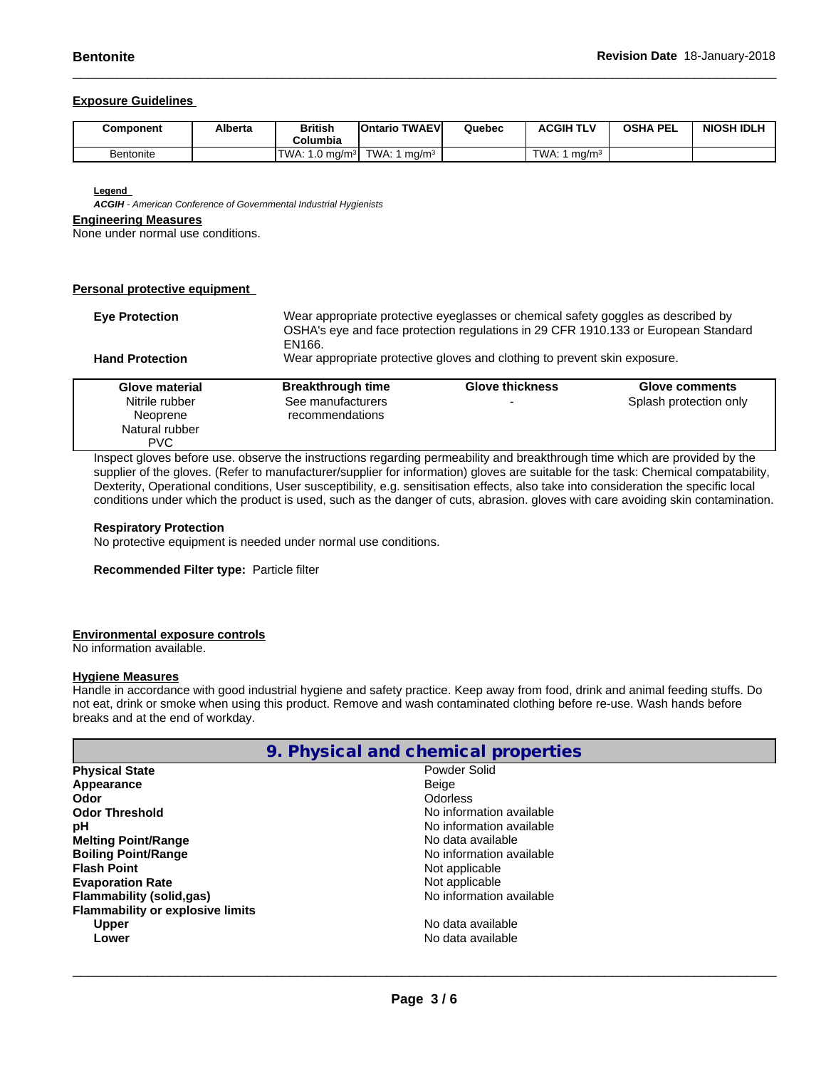#### **Exposure Guidelines**

| Component        | Alberta | British<br>Columbia                 | اTWAEV ا<br><b>IOntario</b> | Quebec | <b>ACGIH TLV</b>                | <b>OSHA PEL</b> | <b>NIOSH IDLH</b> |
|------------------|---------|-------------------------------------|-----------------------------|--------|---------------------------------|-----------------|-------------------|
| <b>Bentonite</b> |         | <b>TWA</b><br>1.0 mg/m <sup>3</sup> | TWA.<br>ma/m                |        | <b>TWA</b><br>ma/m <sup>3</sup> |                 |                   |

**Legend** 

*ACGIH - American Conference of Governmental Industrial Hygienists*

#### **Engineering Measures**

None under normal use conditions.

#### **Personal protective equipment**

| <b>Eve Protection</b>  | Wear appropriate protective eyeglasses or chemical safety goggles as described by<br>OSHA's eye and face protection regulations in 29 CFR 1910.133 or European Standard<br>EN166. |                        |                        |  |
|------------------------|-----------------------------------------------------------------------------------------------------------------------------------------------------------------------------------|------------------------|------------------------|--|
| <b>Hand Protection</b> | Wear appropriate protective gloves and clothing to prevent skin exposure.                                                                                                         |                        |                        |  |
| Glove material         | <b>Breakthrough time</b>                                                                                                                                                          | <b>Glove thickness</b> | Glove comments         |  |
| Nitrile rubber         | See manufacturers                                                                                                                                                                 |                        | Splash protection only |  |
| Neoprene               | recommendations                                                                                                                                                                   |                        |                        |  |
| Natural rubber         |                                                                                                                                                                                   |                        |                        |  |
| <b>PVC</b>             |                                                                                                                                                                                   |                        |                        |  |

Inspect gloves before use. observe the instructions regarding permeability and breakthrough time which are provided by the supplier of the gloves. (Refer to manufacturer/supplier for information) gloves are suitable for the task: Chemical compatability, Dexterity, Operational conditions, User susceptibility, e.g. sensitisation effects, also take into consideration the specific local conditions under which the product is used, such as the danger of cuts, abrasion. gloves with care avoiding skin contamination.

#### **Respiratory Protection**

No protective equipment is needed under normal use conditions.

**Recommended Filter type:** Particle filter

#### **Environmental exposure controls**

No information available.

#### **Hygiene Measures**

Handle in accordance with good industrial hygiene and safety practice. Keep away from food, drink and animal feeding stuffs. Do not eat, drink or smoke when using this product. Remove and wash contaminated clothing before re-use. Wash hands before breaks and at the end of workday.

| 9. Physical and chemical properties     |                          |  |  |
|-----------------------------------------|--------------------------|--|--|
| <b>Physical State</b>                   | Powder Solid             |  |  |
| Appearance                              | Beige                    |  |  |
| Odor                                    | Odorless                 |  |  |
| <b>Odor Threshold</b>                   | No information available |  |  |
| рH                                      | No information available |  |  |
| <b>Melting Point/Range</b>              | No data available        |  |  |
| <b>Boiling Point/Range</b>              | No information available |  |  |
| <b>Flash Point</b>                      | Not applicable           |  |  |
| <b>Evaporation Rate</b>                 | Not applicable           |  |  |
| Flammability (solid,gas)                | No information available |  |  |
| <b>Flammability or explosive limits</b> |                          |  |  |
| <b>Upper</b>                            | No data available        |  |  |
| Lower                                   | No data available        |  |  |
|                                         |                          |  |  |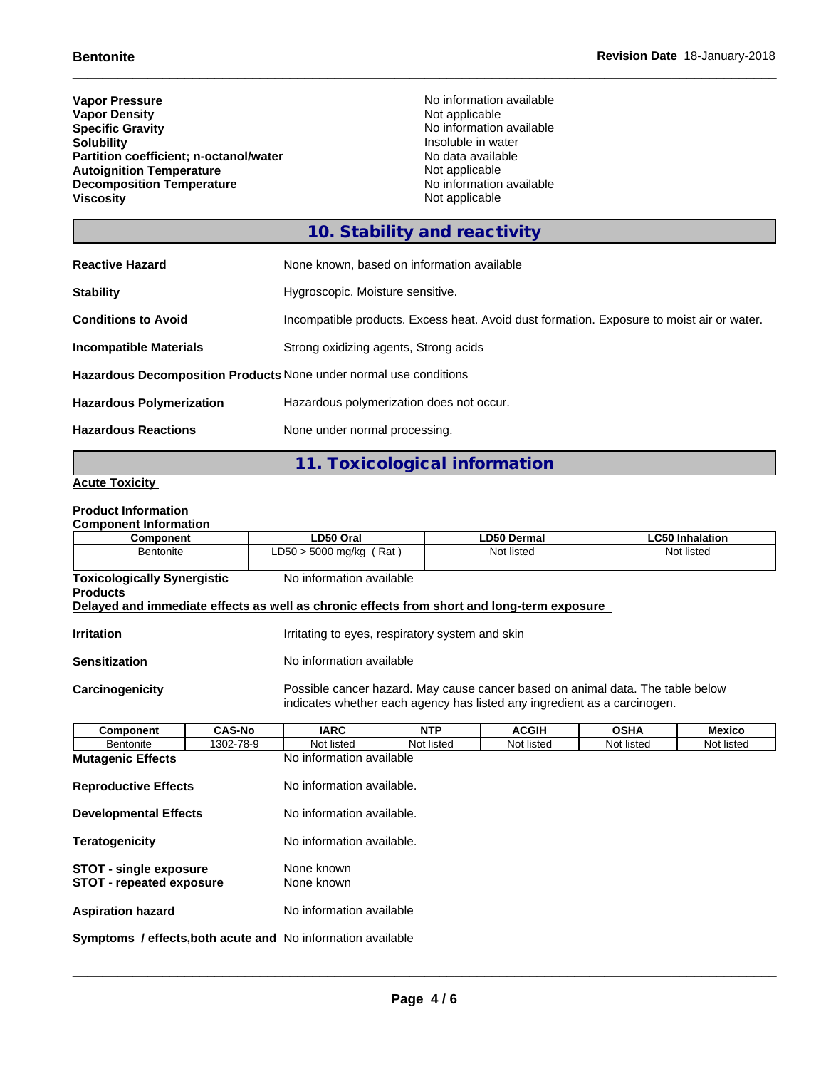**Vapor Pressure**<br> **Vapor Density**<br> **Vapor Density**<br> **Vapor Density**<br> **Vapor Density Vapor Density<br>Specific Gravity Specific Gravity**<br> **Solubility**<br> **Solubility**<br> **Solubility**<br> **Solubility**<br> **Solubility Partition coefficient; n-octanol/water** No data availal<br> **Autoignition Temperature** Not applicable **Autoignition Temperature**<br> **Decomposition Temperature Composition Temperature**<br> **No** information available **Decomposition Temperature**<br>Viscosity

**Insoluble in water<br>No data available Not applicable** 

### **10. Stability and reactivity**

| <b>Reactive Hazard</b>                                                   | None known, based on information available                                                |  |  |  |
|--------------------------------------------------------------------------|-------------------------------------------------------------------------------------------|--|--|--|
| <b>Stability</b>                                                         | Hygroscopic. Moisture sensitive.                                                          |  |  |  |
| <b>Conditions to Avoid</b>                                               | Incompatible products. Excess heat. Avoid dust formation. Exposure to moist air or water. |  |  |  |
| <b>Incompatible Materials</b>                                            | Strong oxidizing agents, Strong acids                                                     |  |  |  |
| <b>Hazardous Decomposition Products None under normal use conditions</b> |                                                                                           |  |  |  |
| <b>Hazardous Polymerization</b>                                          | Hazardous polymerization does not occur.                                                  |  |  |  |
| <b>Hazardous Reactions</b>                                               | None under normal processing.                                                             |  |  |  |

# **11. Toxicological information**

#### **Acute Toxicity**

#### **Product Information**

| <b>Component Information</b> |           |          |
|------------------------------|-----------|----------|
|                              | Component | ים ח5ת ו |

| Component                                                                                  | LD50 Oral                                       | <b>LD50 Dermal</b>                                                                                                                                         | LC50 Inhalation |
|--------------------------------------------------------------------------------------------|-------------------------------------------------|------------------------------------------------------------------------------------------------------------------------------------------------------------|-----------------|
| Bentonite                                                                                  | $LD50 > 5000$ mg/kg (Rat)                       | Not listed                                                                                                                                                 | Not listed      |
|                                                                                            |                                                 |                                                                                                                                                            |                 |
| <b>Toxicologically Synergistic</b>                                                         | No information available                        |                                                                                                                                                            |                 |
| <b>Products</b>                                                                            |                                                 |                                                                                                                                                            |                 |
| Delayed and immediate effects as well as chronic effects from short and long-term exposure |                                                 |                                                                                                                                                            |                 |
|                                                                                            |                                                 |                                                                                                                                                            |                 |
| <b>Irritation</b>                                                                          | Irritating to eyes, respiratory system and skin |                                                                                                                                                            |                 |
|                                                                                            |                                                 |                                                                                                                                                            |                 |
| <b>Sensitization</b>                                                                       | No information available                        |                                                                                                                                                            |                 |
| <b>Carcinogenicity</b>                                                                     |                                                 | Possible cancer hazard. May cause cancer based on animal data. The table below<br>indicates whether each agency has listed any ingredient as a carcinogen. |                 |
|                                                                                            |                                                 |                                                                                                                                                            |                 |

| <b>Component</b>                                                 | <b>CAS-No</b> | <b>IARC</b>               | <b>NTP</b> | <b>ACGIH</b> | <b>OSHA</b> | Mexico     |
|------------------------------------------------------------------|---------------|---------------------------|------------|--------------|-------------|------------|
| Bentonite                                                        | 1302-78-9     | Not listed                | Not listed | Not listed   | Not listed  | Not listed |
| <b>Mutagenic Effects</b>                                         |               | No information available  |            |              |             |            |
| <b>Reproductive Effects</b>                                      |               | No information available. |            |              |             |            |
| <b>Developmental Effects</b>                                     |               | No information available. |            |              |             |            |
| <b>Teratogenicity</b>                                            |               | No information available. |            |              |             |            |
| <b>STOT - single exposure</b><br><b>STOT - repeated exposure</b> |               | None known<br>None known  |            |              |             |            |
| <b>Aspiration hazard</b>                                         |               | No information available  |            |              |             |            |
| Symptoms / effects, both acute and No information available      |               |                           |            |              |             |            |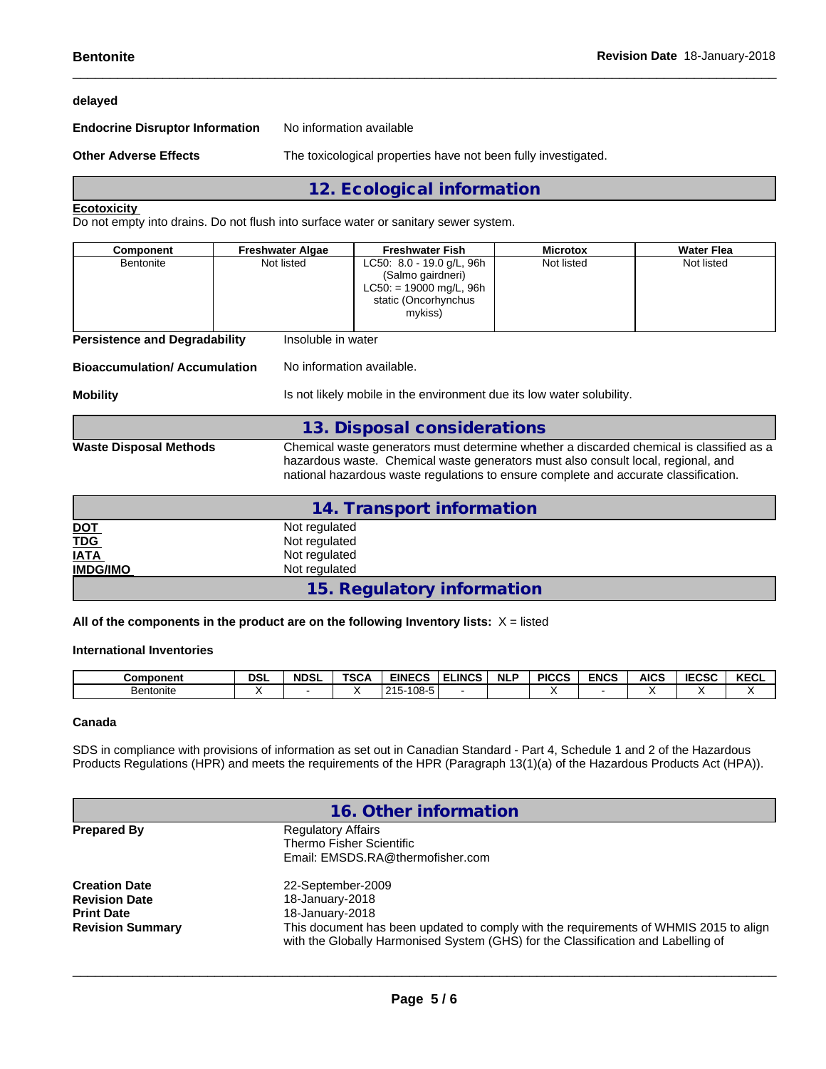#### **delayed**

**Endocrine Disruptor Information** No information available

**Other Adverse Effects** The toxicological properties have not been fully investigated.

**12. Ecological information**

#### **Ecotoxicity**

Do not empty into drains. Do not flush into surface water or sanitary sewer system.

| Not listed<br>Not listed<br>Not listed<br>LC50: 8.0 - 19.0 g/L, 96h<br><b>Bentonite</b><br>(Salmo gairdneri)<br>$LC50: = 19000$ mg/L, 96h<br>static (Oncorhynchus | <b>Component</b> | <b>Freshwater Algae</b> | <b>Freshwater Fish</b> | <b>Microtox</b> | <b>Water Flea</b> |
|-------------------------------------------------------------------------------------------------------------------------------------------------------------------|------------------|-------------------------|------------------------|-----------------|-------------------|
| mykiss)                                                                                                                                                           |                  |                         |                        |                 |                   |

**Persistence and Degradability** Insoluble in water

#### **Bioaccumulation/ Accumulation** No information available.

**Mobility IS not likely mobile in the environment due its low water solubility.** 

| Waste Disnosal Methods |  |
|------------------------|--|

**Waste Disposal Methods** Chemical waste generators must determine whether a discarded chemical is classified as a hazardous waste. Chemical waste generators must also consult local, regional, and national hazardous waste regulations to ensure complete and accurate classification.

|                 | 14. Transport information  |
|-----------------|----------------------------|
| <u>DOT</u>      | Not regulated              |
| <b>TDG</b>      | Not regulated              |
| <b>IATA</b>     | Not regulated              |
| <b>IMDG/IMO</b> | Not regulated              |
|                 | 15. Regulatory information |

**13. Disposal considerations**

**All of the components in the product are on the following Inventory lists:** X = listed

#### **International Inventories**

| Component | <b>DSL</b> | <b>NDSL</b> | <b>TSC<sub>+</sub></b> | <b>EINECS</b>                | <b>LINCS</b> | <b>NLP</b> | <b>PICCS</b> | <b>ENCS</b> | <b>AICS</b> | <b>IECSC</b> | <b>KEOL</b><br>KECL |
|-----------|------------|-------------|------------------------|------------------------------|--------------|------------|--------------|-------------|-------------|--------------|---------------------|
| Bentonite |            |             |                        | . 108<br>つイド<br>1 UO.<br>. נ |              |            |              |             |             |              |                     |

#### **Canada**

SDS in compliance with provisions of information as set out in Canadian Standard - Part 4, Schedule 1 and 2 of the Hazardous Products Regulations (HPR) and meets the requirements of the HPR (Paragraph 13(1)(a) of the Hazardous Products Act (HPA)).

|                                           | 16. Other information                                                                                                                                                      |
|-------------------------------------------|----------------------------------------------------------------------------------------------------------------------------------------------------------------------------|
| <b>Prepared By</b>                        | <b>Regulatory Affairs</b><br>Thermo Fisher Scientific<br>Email: EMSDS.RA@thermofisher.com                                                                                  |
| <b>Creation Date</b>                      | 22-September-2009                                                                                                                                                          |
| <b>Revision Date</b><br><b>Print Date</b> | 18-January-2018<br>18-January-2018                                                                                                                                         |
| <b>Revision Summary</b>                   | This document has been updated to comply with the requirements of WHMIS 2015 to align<br>with the Globally Harmonised System (GHS) for the Classification and Labelling of |